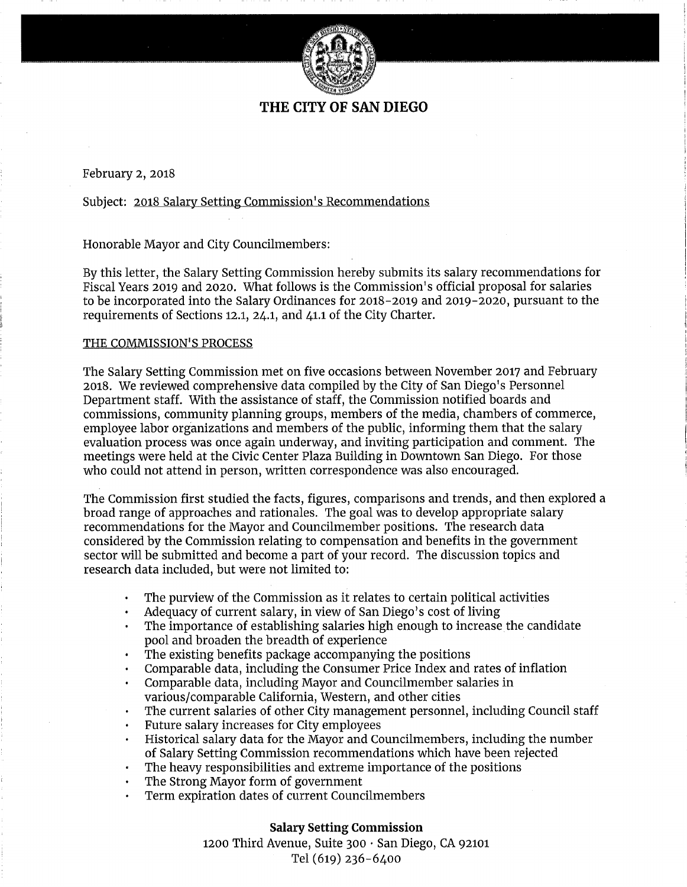

# **THE CITY OF SAN DIEGO**

February 2, 2018

Subject: <u>2018 Salary Setting Commission's Recommendations</u>

Honorable Mayor and City Councilmembers:

By this letter, the Salary Setting Commission hereby submits its salary recommendations for Fiscal Years 2019 and 2020. What follows is the Commission's official proposal for salaries to be incorporated into the Salary Ordinances for 2018-2019 and 2019-2020, pursuant to the requirements of Sections 12.1, 24.1, and 41.1 of the City Charter.

## THE **COMMISSION<sup>1</sup> S PROCESS**

The Salary Setting Commission met on five occasions between November 2017 and February 2018. We reviewed comprehensive data compiled by the City of San Diego's Personnel Department staff. With the assistance of staff, the Commission notified boards and commissions, community planning groups, members of the media, chambers of commerce, employee labor organizations and members of the public, informing them that the salary evaluation process was once again underway, and inviting participation and comment. The meetings were held at the Civic Center Plaza Building in Downtown San Diego. For those who could not attend in person, written correspondence was also encouraged.

The Commission first studied the facts, figures, comparisons and trends, and then explored a broad range of approaches and rationales. The goal was to develop appropriate salary recommendations for the Mayor and Councilmember positions. The research data considered by the Commission relating to compensation and benefits in the government sector will be submitted and become a part of your record. The discussion topics and research data included, but were not limited to:

- The purview of the Commission as it relates to certain political activities
- Adequacy of current salary, in view of San Diego's cost of living
- The importance of establishing salaries high enough to increase the candidate pool and broaden the breadth of experience
- The existing benefits package accompanying the positions
- Comparable data, including the Consumer Price Index and rates of inflation
- Comparable data, including Mayor and Councilmember salaries in various/comparable California, Western, and other cities
- The current salaries of other City management personnel, including Council staff
- Future salary increases for City employees
- Historical salary data for the Mayor and Councilmembers, including the number  $\bullet$ of Salary Setting Commission recommendations which have been rejected
- The heavy responsibilities and extreme importance of the positions
- The Strong Mayor form of government
- Term expiration dates of current Councilmembers

### **Salary Setting Commission**

1200 Third Avenue, Suite 300 · San Diego, CA 92101 Tel (619) 236-6400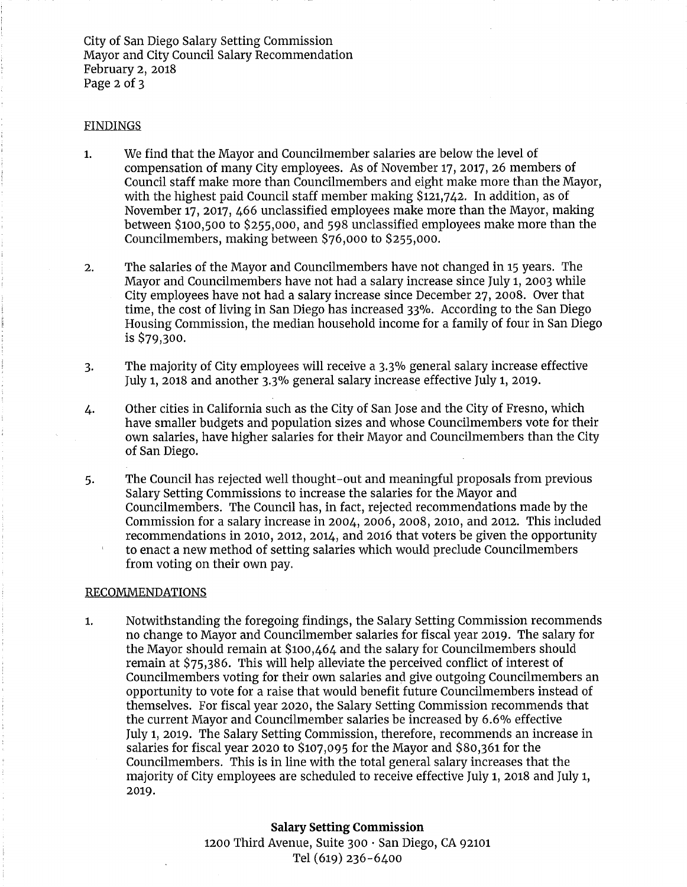City of San Diego Salary Setting Commission Mayor and City Council Salary Recommendation February 2, 2018 Page 2 of 3

#### FINDINGS

- 1. We find that the Mayor and Councilmember salaries are below the level of compensation of many City employees. As of November 17, 2017, 26 members of Council staff make more than Councilmembers and eight make more than the Mayor, with the highest paid Council staff member making \$121,742. In addition, as of November 17, 2017, 466 unclassified employees make more than the Mayor, making between \$100,500 to \$255,000, and 598 unclassified employees make more than the Councilmembers, making between \$76,000 to \$255,000.
- 2. The salaries of the Mayor and Councilmembers have not changed in 15 years. The Mayor and Councilmembers have not had a salary increase since July 1, 2003 while City employees have not had a salary increase since December 27, 2008. Over that time, the cost of living in San Diego has increased 33%. According to the San Diego Housing Commission, the median household income for a family of four in San Diego is \$79,300.
- 3. The majority of City employees will receive a 3.3% general salary increase effective July 1, 2018 and another 3.3°/o general salary increase effective July 1, 2019.
- 4. Other cities in California such as the City of San Jose and the City of Fresno, which have smaller budgets and population sizes and whose Councilmembers vote for their own salaries, have higher salaries for their Mayor and Councilmembers than the City of San Diego.
- 5. The Council has rejected well thought-out and meaningful proposals from previous Salary Setting Commissions to increase the salaries for the Mayor and Councilmembers. The Council has, in fact, rejected recommendations made by the Commission for a salary increase in 2004, 2006, 2008, 2010, and 2012. This included recommendations in 2010, 2012, 2014, and 2016 that voters be given the opportunity to enact a new method of setting salaries which would preclude Councilmembers from voting on their own pay.

#### RECOMMENDATIONS

1. Notwithstanding the foregoing findings, the Salary Setting Commission recommends no change to Mayor and Councilmember salaries for fiscal year 2019. The salary for the Mayor should remain at \$100,464 and the salary for Councilmembers should remain at \$75,386. This will help alleviate the perceived conflict of interest of Councilmembers voting for their own salaries anµ give outgoing Councilmembers an opportunity to vote for a raise that would benefit future Councilmembers instead of themselves. For fiscal year 2020, the Salary Setting Commission recommends that the current Mayor and Councilmember salaries be increased by 6.6% effective July 1, 2019. The Salary Setting Commission, therefore, recommends an increase in salaries for fiscal year 2020 to \$107,095 for the Mayor and \$80,361 for the Councilmembers. This is in line with the total general salary increases that the majority of City employees are scheduled to receive effective July 1, 2018 and July 1, 2019.